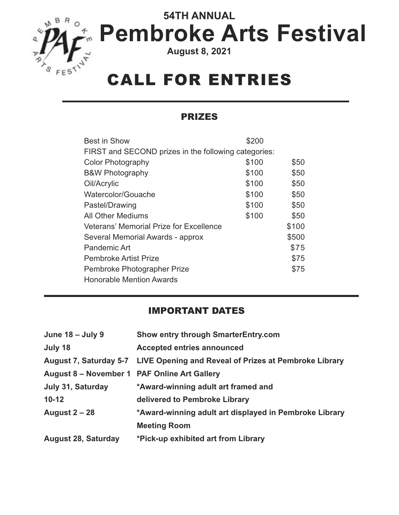

# **54TH ANNUAL Pembroke Arts Festival**

**August 8, 2021**

## CALL FOR ENTRIES

#### PRIZES

| <b>Best in Show</b>                                  | \$200 |       |
|------------------------------------------------------|-------|-------|
| FIRST and SECOND prizes in the following categories: |       |       |
| Color Photography                                    | \$100 | \$50  |
| <b>B&amp;W Photography</b>                           | \$100 | \$50  |
| Oil/Acrylic                                          | \$100 | \$50  |
| Watercolor/Gouache                                   | \$100 | \$50  |
| Pastel/Drawing                                       | \$100 | \$50  |
| <b>All Other Mediums</b>                             | \$100 | \$50  |
| <b>Veterans' Memorial Prize for Excellence</b>       |       | \$100 |
| Several Memorial Awards - approx                     |       | \$500 |
| <b>Pandemic Art</b>                                  |       | \$75  |
| <b>Pembroke Artist Prize</b>                         |       | \$75  |
| Pembroke Photographer Prize                          |       | \$75  |
| <b>Honorable Mention Awards</b>                      |       |       |

#### IMPORTANT DATES

| June 18 - July 9                             | <b>Show entry through SmarterEntry.com</b>                                   |
|----------------------------------------------|------------------------------------------------------------------------------|
| July 18                                      | <b>Accepted entries announced</b>                                            |
|                                              | August 7, Saturday 5-7 LIVE Opening and Reveal of Prizes at Pembroke Library |
| August 8 – November 1 PAF Online Art Gallery |                                                                              |
| July 31, Saturday                            | *Award-winning adult art framed and                                          |
| $10 - 12$                                    | delivered to Pembroke Library                                                |
| <b>August 2 - 28</b>                         | *Award-winning adult art displayed in Pembroke Library                       |
|                                              | <b>Meeting Room</b>                                                          |
| <b>August 28, Saturday</b>                   | *Pick-up exhibited art from Library                                          |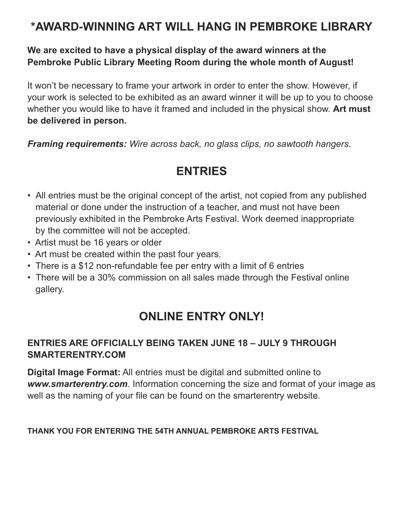### **\*AWARD-WINNING ART WILL HANG IN PEMBROKE LIBRARY**

### **We are excited to have a physical display of the award winners at the Pembroke Public Library Meeting Room during the whole month of August!**

It won't be necessary to frame your artwork in order to enter the show. However, if your work is selected to be exhibited as an award winner it will be up to you to choose whether you would like to have it framed and included in the physical show. **Art must be delivered in person.**

*Framing requirements: Wire across back, no glass clips, no sawtooth hangers.* 

### **ENTRIES**

- All entries must be the original concept of the artist, not copied from any published material or done under the instruction of a teacher, and must not have been previously exhibited in the Pembroke Arts Festival. Work deemed inappropriate by the committee will not be accepted.
- Artist must be 16 years or older
- Art must be created within the past four years.
- There is a \$12 non-refundable fee per entry with a limit of 6 entries
- There will be a 30% commission on all sales made through the Festival online gallery.

### **ONLINE ENTRY ONLY!**

#### **ENTRIES ARE OFFICIALLY BEING TAKEN JUNE 18 – JULY 9 THROUGH SMARTERENTRY.COM**

**Digital Image Format:** All entries must be digital and submitted online to *[www.smarterentry.com](http://)*. Information concerning the size and format of your image as well as the naming of your file can be found on the smarterentry website.

#### **THANK YOU FOR ENTERING THE 54TH ANNUAL PEMBROKE ARTS FESTIVAL**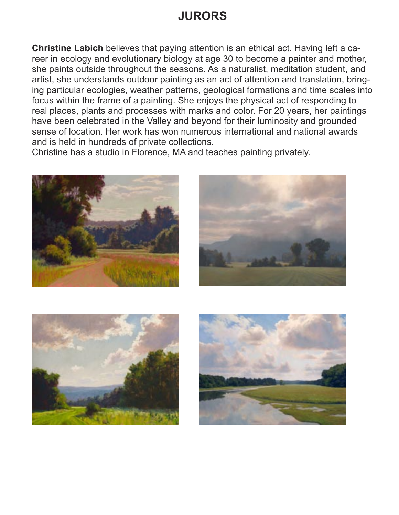### **JURORS**

**Christine Labich** believes that paying attention is an ethical act. Having left a career in ecology and evolutionary biology at age 30 to become a painter and mother, she paints outside throughout the seasons. As a naturalist, meditation student, and artist, she understands outdoor painting as an act of attention and translation, bringing particular ecologies, weather patterns, geological formations and time scales into focus within the frame of a painting. She enjoys the physical act of responding to real places, plants and processes with marks and color. For 20 years, her paintings have been celebrated in the Valley and beyond for their luminosity and grounded sense of location. Her work has won numerous international and national awards and is held in hundreds of private collections.

Christine has a studio in Florence, MA and teaches painting privately.